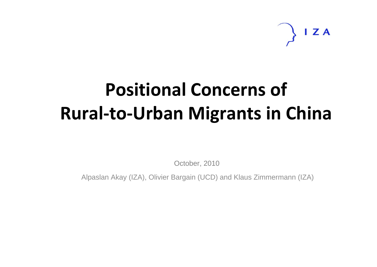ZA

# **Positional Concerns of Rural‐to‐Urban Migrants in China**

October, 2010

Alpaslan Akay (IZA), Olivier Bargain (UCD) and Klaus Zimmermann (IZA)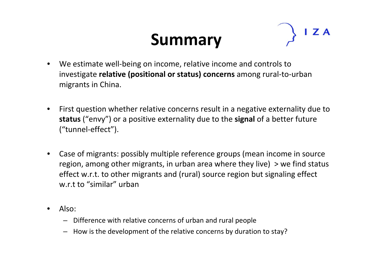# **Summary**



- • We estimate well‐being on income, relative income and controls to investigate **relative (positional or status) concerns** among rural‐to‐urban migrants in China.
- • First question whether relative concerns result in <sup>a</sup> negative externality due to **status** ("envy") or <sup>a</sup> positive externality due to the **signal** of <sup>a</sup> better future ("tunnel‐effect").
- • Case of migrants: possibly multiple reference groups (mean income in source region, among other migrants, in urban area where they live) <sup>&</sup>gt; we find status effect w.r.t. to other migrants and (rural) source region but signaling effect w.r.t to "similar" urban
- • Also:
	- Difference with relative concerns of urban and rural people
	- How is the development of the relative concerns by duration to stay?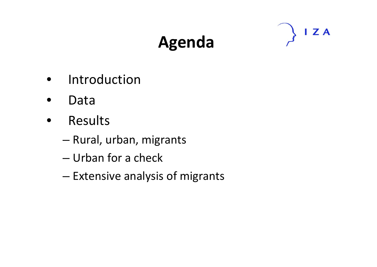# **Agenda**



- Introduction
- $\bullet$ Data
- $\bullet$  Results
	- –— Rural, urban, migrants
	- Urban for <sup>a</sup> check
	- Extensive analysis of migrants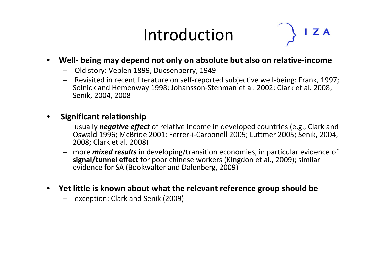## Introduction



#### $\bullet$ **Well‐ being may depend not only on absolute but also on relative‐income**

- Old story: Veblen 1899, Duesenberry, 1949
- Revisited in recent literature on self‐reported subjective well‐being: Frank, 1997; Solnick and Hemenway 1998; Johansson‐Stenman et al. 2002; Clark et al. 2008, Senik, 2004, 2008

#### •**Significant relationship**

- usually *negative effect* of relative income in developed countries (e.g., Clark and Oswald 1996; McBride 2001; Ferrer‐i‐Carbonell 2005; Luttmer 2005; Senik, 2004, 2008; Clark et al. 2008)
- more *mixed results* in developing/transition economies, in particular evidence of **signal/tunnel effect** for poor chinese workers (Kingdon et al., 2009); similar evidence for SA (Bookwalter and Dalenberg, 2009)
- **Yet little is known about what the relevant reference group should be**
	- exception: Clark and Senik (2009)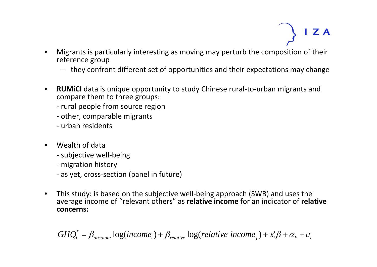ZA

- • Migrants is particularly interesting as moving may perturb the composition of their reference group
	- they confront different set of opportunities and their expectations may change
- $\bullet$  **RUMiCI** data is unique opportunity to study Chinese rural‐to‐urban migrants and compare them to three groups:
	- ‐ rural people from source region
	- ‐ other, comparable migrants
	- ‐ urban residents
- • Wealth of data
	- ‐ subjective well‐being
	- ‐ migration history
	- ‐ as yet, cross‐section (panel in future)
- • This study: is based on the subjective well‐being approach (SWB) and uses the average income of "relevant others" as **relative income** for an indicator of **relative concerns:**

$$
GHQ_i^* = \beta_{absolute} \log(income_i) + \beta_{relative} \log(relative\ income_j) + x_i'\beta + \alpha_k + u_i
$$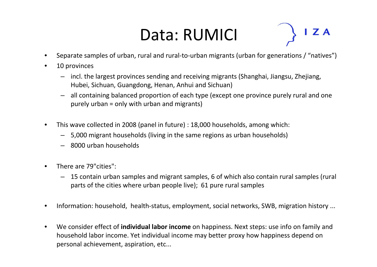# Data: RUMICI

- •Separate samples of urban, rural and rural‐to‐urban migrants (urban for generations / "natives")
- •• 10 provinces
	- incl. the largest provinces sending and receiving migrants (Shanghai, Jiangsu, Zhejiang, Hubei, Sichuan, Guangdong, Henan, Anhui and Sichuan)
	- all containing balanced proportion of each type (except one province purely rural and one purely urban <sup>=</sup> only with urban and migrants)
- $\bullet$  This wave collected in 2008 (panel in future) : 18,000 households, among which:
	- 5,000 migrant households (living in the same regions as urban households)
	- 8000 urban households
- •• There are 79"cities":
	- 15 contain urban samples and migrant samples, 6 of which also contain rural samples (rural parts of the cities where urban people live); 61 pure rural samples
- $\bullet$ Information: household, health‐status, employment, social networks, SWB, migration history ...
- $\bullet$  We consider effect of **individual labor income** on happiness. Next steps: use info on family and household labor income. Yet individual income may better proxy how happiness depend on personal achievement, aspiration, etc...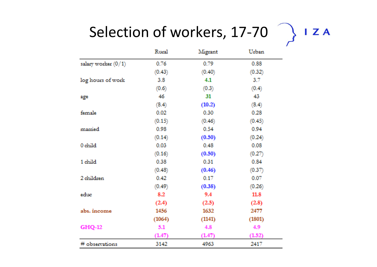### Selection of workers, 17‐70

|                       | Rural  | Migrant | Urban  |
|-----------------------|--------|---------|--------|
| salary worker $(0/1)$ | 0.76   | 0.79    | 0.88   |
|                       | (0.43) | (0.40)  | (0.32) |
| log hours of work     | 3.8    | 4.1     | 37     |
|                       | (0.6)  | (0.3)   | (0.4)  |
| age                   | 46     | 31      | 43     |
|                       | (8.4)  | (10.2)  | (8.4)  |
| female                | 0.02   | 0.30    | 0.28   |
|                       | (0.15) | (0.46)  | (0.45) |
| married               | 0.98   | 0.54    | 0.94   |
|                       | (0.14) | (0.50)  | (0.24) |
| 0 child               | 0.03   | 0.48    | 0.08   |
|                       | (0.16) | (0.50)  | (0.27) |
| 1 child               | 0.38   | 0.31    | 0.84   |
|                       | (0.48) | (0.46)  | (0.37) |
| 2 children            | 0.42   | 0.17    | 0.07   |
|                       | (0.49) | (0.38)  | (0.26) |
| educ                  | 8.2    | 9.4     | 11.8   |
|                       | (2.4)  | (2.5)   | (2.8)  |
| abs, income           | 1456   | 1632    | 2477   |
|                       | (1064) | (1141)  | (1801) |
| <b>GHQ-12</b>         | 5.1    | 4.8     | 4.9    |
|                       | (1.47) | (1.47)  | (1.52) |
| # observations        | 3142   | 4963    | 2417   |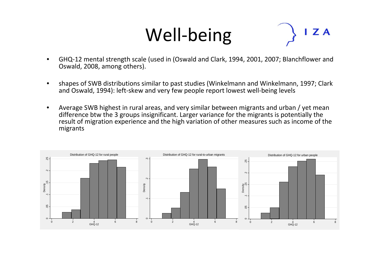# Well‐being

Z A

- • GHQ‐12 mental strength scale (used in (Oswald and Clark, 1994, 2001, 2007; Blanchflower and Oswald, 2008, among others).
- • shapes of SWB distributions similar to past studies (Winkelmann and Winkelmann, 1997; Clark and Oswald, 1994): left‐skew and very few people report lowest well‐being levels
- • Average SWB highest in rural areas, and very similar between migrants and urban / yet mean difference btw the 3 groups insignificant. Larger variance for the migrants is potentially the result of migration experience and the high variation of other measures such as income of the migrants

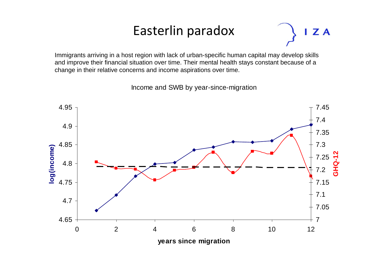#### Easterlin paradox

ZA

Immigrants arriving in a host region with lack of urban-specific human capital may develop skills and improve their financial situation over time. Their mental health stays constant because of a change in their relative concerns and income aspirations over time.

Income and SWB by year-since-migration

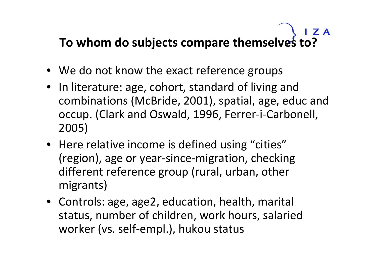#### $\overline{I}$  Z A **To whom do subjects compare themselves to?**

- We do not know the exact reference groups
- In literature: age, cohort, standard of living and combinations (McBride, 2001), spatial, age, educ and occup. (Clark and Oswald, 1996, Ferrer‐i‐Carbonell, 2005)
- Here relative income is defined using "cities" (region), age or year‐since‐migration, checking different reference group (rural, urban, other migrants)
- Controls: age, age2, education, health, marital status, number of children, work hours, salaried worker (vs. self‐empl.), hukou status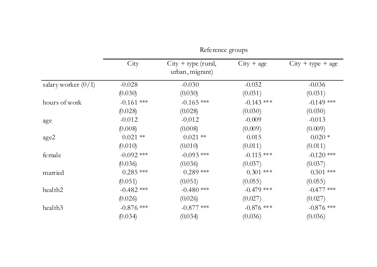|                       | Reference groups |                                          |              |                     |
|-----------------------|------------------|------------------------------------------|--------------|---------------------|
|                       | City             | $City + type (rural,$<br>urban, migrant) | $City + age$ | $City + type + age$ |
| salary worker $(0/1)$ | $-0.028$         | $-0.030$                                 | $-0.032$     | $-0.036$            |
|                       | (0.030)          | (0.030)                                  | (0.031)      | (0.031)             |
| hours of work         | $-0.161$ ***     | $-0.165$ ***                             | $-0.143$ *** | $-0.149$ ***        |
|                       | (0.028)          | (0.028)                                  | (0.030)      | (0.030)             |
| age                   | $-0.012$         | $-0.012$                                 | $-0.009$     | $-0.013$            |
|                       | (0.008)          | (0.008)                                  | (0.009)      | (0.009)             |
| age2                  | $0.021$ **       | $0.021$ **                               | 0.015        | $0.020*$            |
|                       | (0.010)          | (0.010)                                  | (0.011)      | (0.011)             |
| female                | $-0.092$ ***     | $-0.093$ ***                             | $-0.115$ *** | $-0.120$ ***        |
|                       | (0.036)          | (0.036)                                  | (0.037)      | (0.037)             |
| married               | $0.285$ ***      | $0.289$ ***                              | $0.301$ ***  | $0.301$ ***         |
|                       | (0.051)          | (0.051)                                  | (0.055)      | (0.055)             |
| health <sub>2</sub>   | $-0.482$ ***     | $-0.480$ ***                             | $-0.479$ *** | $-0.477$ ***        |
|                       | (0.026)          | (0.026)                                  | (0.027)      | (0.027)             |
| health <sub>3</sub>   | $-0.876$ ***     | $-0.877$ ***                             | $-0.876$ *** | $-0.876$ ***        |
|                       | (0.034)          | (0.034)                                  | (0.036)      | (0.036)             |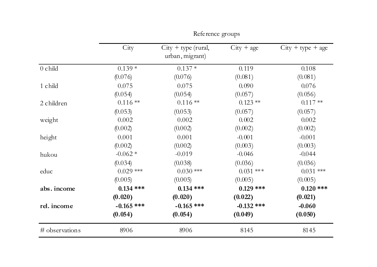|                | City         | $City + type (rural,$<br>urban, migrant) | $City + age$ | $City + type + age$ |
|----------------|--------------|------------------------------------------|--------------|---------------------|
| $0$ child      | $0.139*$     | $0.137*$                                 | 0.119        | 0.108               |
|                | (0.076)      | (0.076)                                  | (0.081)      | (0.081)             |
| 1 child        | 0.075        | 0.075                                    | 0.090        | 0.076               |
|                | (0.054)      | (0.054)                                  | (0.057)      | (0.056)             |
| 2 children     | $0.116**$    | $0.116**$                                | $0.123**$    | $0.117**$           |
|                | (0.053)      | (0.053)                                  | (0.057)      | (0.057)             |
| weight         | 0.002        | 0.002                                    | 0.002        | 0.002               |
|                | (0.002)      | (0.002)                                  | (0.002)      | (0.002)             |
| height         | 0.001        | 0.001                                    | $-0.001$     | $-0.001$            |
|                | (0.002)      | (0.002)                                  | (0.003)      | (0.003)             |
| hukou          | $-0.062*$    | $-0.019$                                 | $-0.046$     | $-0.044$            |
|                | (0.034)      | (0.038)                                  | (0.036)      | (0.036)             |
| educ           | $0.029$ ***  | $0.030$ ***                              | $0.031$ ***  | $0.031$ ***         |
|                | (0.005)      | (0.005)                                  | (0.005)      | (0.005)             |
| abs. income    | $0.134$ ***  | $0.134$ ***                              | $0.129$ ***  | $0.120$ ***         |
|                | (0.020)      | (0.020)                                  | (0.022)      | (0.021)             |
| rel. income    | $-0.165$ *** | $-0.165$ ***                             | $-0.132$ *** | $-0.060$            |
|                | (0.054)      | (0.054)                                  | (0.049)      | (0.050)             |
| # observations | 8906         | 8906                                     | 8145         | 8145                |

Reference groups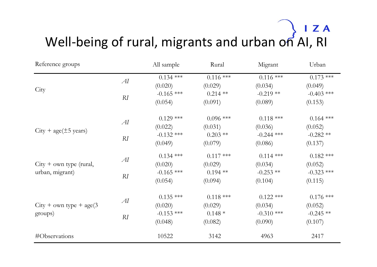# Well-being of rural, migrants and urban on AI, RI

| Reference groups                             |    | All sample   | Rural       | Migrant      | Urban        |
|----------------------------------------------|----|--------------|-------------|--------------|--------------|
|                                              | AI | $0.134$ ***  | $0.116$ *** | $0.116$ ***  | $0.173$ ***  |
| City                                         |    | (0.020)      | (0.029)     | (0.034)      | (0.049)      |
|                                              | RI | $-0.165$ *** | $0.214$ **  | $-0.219**$   | $-0.403$ *** |
|                                              |    | (0.054)      | (0.091)     | (0.089)      | (0.153)      |
|                                              | AI | $0.129$ ***  | $0.096$ *** | $0.118$ ***  | $0.164$ ***  |
|                                              |    | (0.022)      | (0.031)     | (0.036)      | (0.052)      |
| $City + age(\pm 5 \text{ years})$            | RI | $-0.132$ *** | $0.203$ **  | $-0.244$ *** | $-0.282$ **  |
|                                              |    | (0.049)      | (0.079)     | (0.086)      | (0.137)      |
|                                              | AI | $0.134$ ***  | $0.117$ *** | $0.114$ ***  | $0.182$ ***  |
| $City + own type (rural,$<br>urban, migrant) |    | (0.020)      | (0.029)     | (0.034)      | (0.052)      |
|                                              | RI | $-0.165$ *** | $0.194$ **  | $-0.253$ **  | $-0.323$ *** |
|                                              |    | (0.054)      | (0.094)     | (0.104)      | (0.115)      |
| $City + own type + age(3)$<br>groups)        |    | $0.135$ ***  | $0.118$ *** | $0.122$ ***  | $0.176$ ***  |
|                                              | AI | (0.020)      | (0.029)     | (0.034)      | (0.052)      |
|                                              | RI | $-0.153$ *** | $0.148*$    | $-0.310$ *** | $-0.245$ **  |
|                                              |    | (0.048)      | (0.082)     | (0.090)      | (0.107)      |
| #Observations                                |    | 10522        | 3142        | 4963         | 2417         |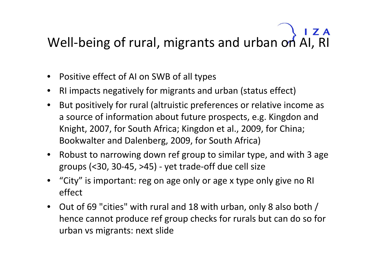# Well-being of rural, migrants and urban on AI, RI

- $\bullet$ • Positive effect of AI on SWB of all types
- $\bullet$ RI impacts negatively for migrants and urban (status effect)
- $\bullet$  But positively for rural (altruistic preferences or relative income as a source of information about future prospects, e.g. Kingdon and Knight, 2007, for South Africa; Kingdon et al., 2009, for China; Bookwalter and Dalenberg, 2009, for South Africa)
- Robust to narrowing down ref group to similar type, and with 3 age groups (<30, 30‐45, >45) ‐ yet trade‐off due cell size
- $\bullet$  "City" is important: reg on age only or age <sup>x</sup> type only give no RI effect
- Out of 69 "cities" with rural and 18 with urban, only 8 also both / hence cannot produce ref group checks for rurals but can do so for urban vs migrants: next slide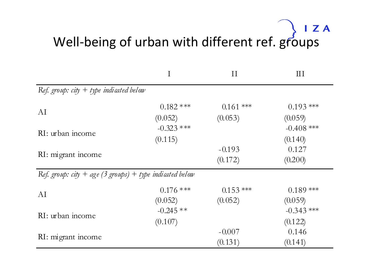# Well-being of urban with different ref. groups

|                                                          | I                       | $\rm II$    | $\mathop{\rm III}$      |  |  |
|----------------------------------------------------------|-------------------------|-------------|-------------------------|--|--|
| Ref. group: $city + type$ indicated below                |                         |             |                         |  |  |
| AI                                                       | $0.182$ ***             | $0.161$ *** | $0.193$ ***             |  |  |
|                                                          | (0.052)                 | (0.053)     | (0.059)                 |  |  |
| RI: urban income                                         | $-0.323$ ***<br>(0.115) |             | $-0.408$ ***<br>(0.140) |  |  |
| RI: migrant income                                       |                         | $-0.193$    | 0.127                   |  |  |
|                                                          |                         | (0.172)     | (0.200)                 |  |  |
| Ref. group: city + age (3 groups) + type indicated below |                         |             |                         |  |  |
| AI                                                       | $0.176$ ***             | $0.153$ *** | $0.189$ ***             |  |  |
|                                                          | (0.052)                 | (0.052)     | (0.059)                 |  |  |
| RI: urban income                                         | $-0.245**$              |             | $-0.343$ ***            |  |  |
|                                                          | (0.107)                 |             | (0.122)                 |  |  |
| RI: migrant income                                       |                         | $-0.007$    | 0.146                   |  |  |
|                                                          |                         | (0.131)     | (0.141)                 |  |  |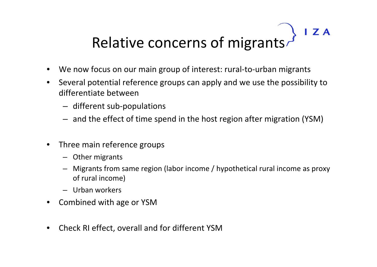### $IZA$ Relative concerns of migrants

- $\bullet$ We now focus on our main group of interest: rural‐to‐urban migrants
- $\bullet$  Several potential reference groups can apply and we use the possibility to differentiate between
	- different sub‐populations
	- and the effect of time spend in the host region after migration (YSM)
- $\bullet$ **•** Three main reference groups
	- Other migrants
	- – Migrants from same region (labor income / hypothetical rural income as proxy of rural income)
	- Urban workers
- $\bullet$ • Combined with age or YSM
- $\bullet$ Check RI effect, overall and for different YSM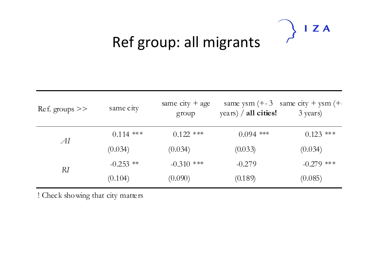### $IZA$  $\mathcal{L}$

### Ref group: all migrants

| $\text{Re}f.$ groups $\gt$ | same city   | same city $+$ age<br>group | same ysm $(+3)$ same city + ysm $(+)$<br>years) $/$ all cities! | 3 years)     |
|----------------------------|-------------|----------------------------|-----------------------------------------------------------------|--------------|
|                            | $0.114$ *** | $0.122$ ***                | $0.094$ ***                                                     | $0.123$ ***  |
| AI                         | (0.034)     | (0.034)                    | (0.033)                                                         | (0.034)      |
| RI                         | $-0.253$ ** | $-0.310$ ***               | $-0.279$                                                        | $-0.279$ *** |
|                            | (0.104)     | (0.090)                    | (0.189)                                                         | (0.085)      |

! Check showing that city matters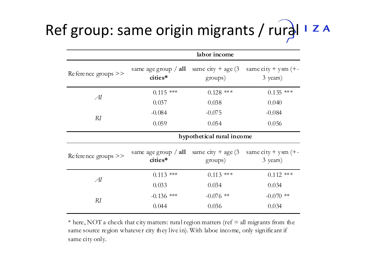# Ref group: same origin migrants / rural

|                       | labor income                      |                                 |                                                         |  |
|-----------------------|-----------------------------------|---------------------------------|---------------------------------------------------------|--|
| Reference groups $>>$ | same age group $/$ all<br>cities* | same city + age $(3$<br>groups) | same $city + y$ sm $(+)$<br>3 years)                    |  |
| $\overline{AI}$       | $0.115$ ***                       | $0.128$ ***                     | $0.135$ ***                                             |  |
|                       | 0.037                             | 0.038                           | 0.040                                                   |  |
|                       | $-0.084$                          | $-0.075$                        | $-0.084$                                                |  |
| RI                    | 0.059                             | 0.054                           | 0.056                                                   |  |
|                       | hypothetical rural income         |                                 |                                                         |  |
| Reference groups $>>$ | same age group $/$ all<br>cities* | same city + age $(3$<br>groups) | same $\text{city} + \text{y} \text{sm}$ (+-<br>3 years) |  |
|                       | $0.113$ ***                       | $0.113$ ***                     | $0.112$ ***                                             |  |
| $\overline{A}I$       | 0.033                             | 0.034                           | 0.034                                                   |  |
| RI                    | $-0.136$ ***                      | $-0.076$ **                     | $-0.070$ **                                             |  |
|                       | 0.044                             | 0.036                           | 0.034                                                   |  |

\* here, NOT a check that city matters: rural region matters (ref  $=$  all migrants from the same source region whatever city they live in). With laboe income, only significant if same city only.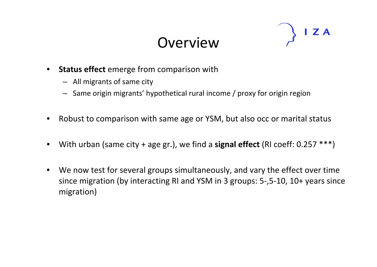### **Overview**



- $\bullet$  **Status effect** emerge from comparison with
	- All migrants of same city
	- Same origin migrants' hypothetical rural income / proxy for origin region
- $\bullet$ Robust to comparison with same age or YSM, but also occ or marital status
- $\bullet$ With urban (same city <sup>+</sup> age gr.), we find <sup>a</sup> **signal effect** (RI coeff: 0.257 \*\*\*)
- $\bullet$  We now test for several groups simultaneously, and vary the effect over time since migration (by interacting RI and YSM in 3 groups: 5‐,5‐10, 10+ years since migration)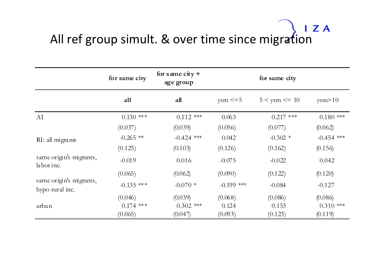# All ref group simult. & over time since migration

|                                            | for same city | for same city $+$<br>age group | for same city |                    |              |
|--------------------------------------------|---------------|--------------------------------|---------------|--------------------|--------------|
|                                            | all           | all                            | $ysm \leq 5$  | $5 <$ ysm $\le$ 10 | ysm > 10     |
| AI                                         | $0.130$ ***   | $0.112$ ***                    | 0.063         | $0.217$ ***        | $0.180$ ***  |
|                                            | (0.037)       | (0.039)                        | (0.056)       | (0.077)            | (0.062)      |
| RI: all migrants                           | $-0.265$ **   | $-0.424$ ***                   | 0.042         | $-0.302$ *         | $-0.454$ *** |
|                                            | (0.125)       | (0.103)                        | (0.126)       | (0.162)            | (0.156)      |
| same origin's migrants,<br>labor inc.      | $-0.019$      | 0.016                          | $-0.075$      | $-0.022$           | 0.042        |
|                                            | (0.065)       | (0.062)                        | (0.090)       | (0.122)            | (0.120)      |
| same origin's migrants,<br>hypo rural inc. | $-0.135$ ***  | $-0.070*$                      | $-0.199$ ***  | $-0.084$           | $-0.127$     |
|                                            | (0.046)       | (0.039)                        | (0.068)       | (0.086)            | (0.086)      |
| urban                                      | $0.174$ ***   | $0.302$ ***                    | 0.124         | 0.153              | $0.310$ ***  |
|                                            | (0.065)       | (0.047)                        | (0.093)       | (0.123)            | (0.119)      |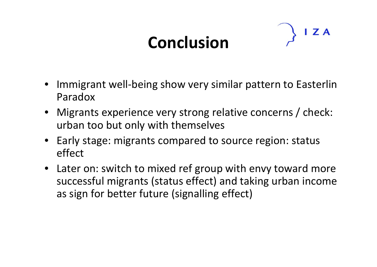# **Conclusion**



- Immigrant well‐being show very similar pattern to Easterlin Paradox
- Migrants experience very strong relative concerns / check: urban too but only with themselves
- Early stage: migrants compared to source region: status effect
- Later on: switch to mixed ref group with envy toward more successful migrants (status effect) and taking urban income as sign for better future (signalling effect)